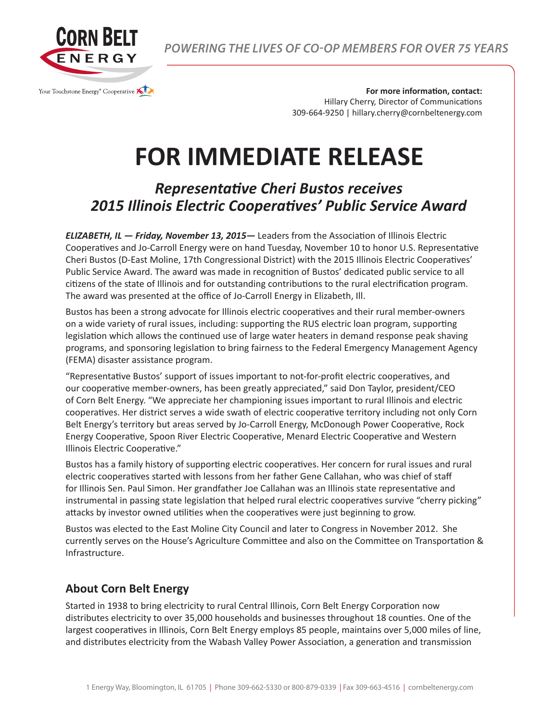

*POWERING THE LIVES OF CO-OP MEMBERS FOR OVER 75 YEARS*

**For more information, contact:** Hillary Cherry, Director of Communications 309-664-9250 | hillary.cherry@cornbeltenergy.com

## **FOR IMMEDIATE RELEASE**

## *Representative Cheri Bustos receives 2015 Illinois Electric Cooperatives' Public Service Award*

*ELIZABETH, IL — Friday, November 13, 2015—* Leaders from the Association of Illinois Electric Cooperatives and Jo-Carroll Energy were on hand Tuesday, November 10 to honor U.S. Representative Cheri Bustos (D-East Moline, 17th Congressional District) with the 2015 Illinois Electric Cooperatives' Public Service Award. The award was made in recognition of Bustos' dedicated public service to all citizens of the state of Illinois and for outstanding contributions to the rural electrification program. The award was presented at the office of Jo-Carroll Energy in Elizabeth, Ill.

Bustos has been a strong advocate for Illinois electric cooperatives and their rural member-owners on a wide variety of rural issues, including: supporting the RUS electric loan program, supporting legislation which allows the continued use of large water heaters in demand response peak shaving programs, and sponsoring legislation to bring fairness to the Federal Emergency Management Agency (FEMA) disaster assistance program.

"Representative Bustos' support of issues important to not-for-profit electric cooperatives, and our cooperative member-owners, has been greatly appreciated," said Don Taylor, president/CEO of Corn Belt Energy. "We appreciate her championing issues important to rural Illinois and electric cooperatives. Her district serves a wide swath of electric cooperative territory including not only Corn Belt Energy's territory but areas served by Jo-Carroll Energy, McDonough Power Cooperative, Rock Energy Cooperative, Spoon River Electric Cooperative, Menard Electric Cooperative and Western Illinois Electric Cooperative."

Bustos has a family history of supporting electric cooperatives. Her concern for rural issues and rural electric cooperatives started with lessons from her father Gene Callahan, who was chief of staff for Illinois Sen. Paul Simon. Her grandfather Joe Callahan was an Illinois state representative and instrumental in passing state legislation that helped rural electric cooperatives survive "cherry picking" attacks by investor owned utilities when the cooperatives were just beginning to grow.

Bustos was elected to the East Moline City Council and later to Congress in November 2012. She currently serves on the House's Agriculture Committee and also on the Committee on Transportation & Infrastructure.

## **About Corn Belt Energy**

Started in 1938 to bring electricity to rural Central Illinois, Corn Belt Energy Corporation now distributes electricity to over 35,000 households and businesses throughout 18 counties. One of the largest cooperatives in Illinois, Corn Belt Energy employs 85 people, maintains over 5,000 miles of line, and distributes electricity from the Wabash Valley Power Association, a generation and transmission